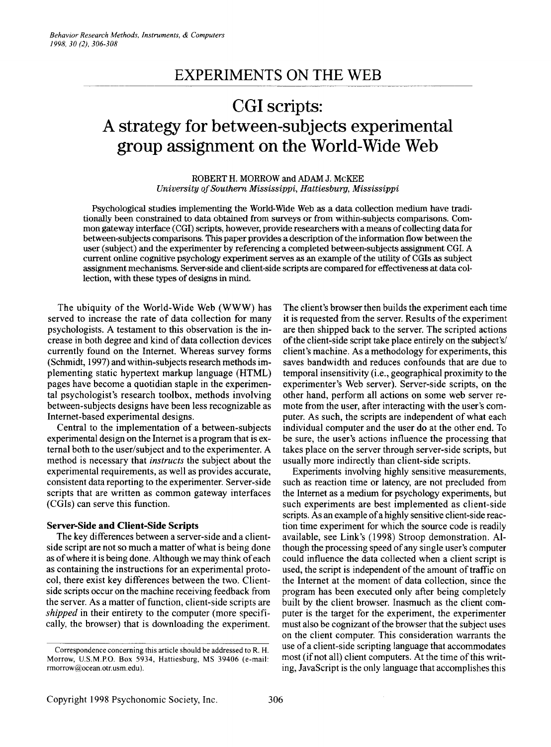## **EXPERIMENTS ON THE WEB**

# **CGIscripts: A strategy for between-subjects experimental group assignment on the World-Wide Web**

ROBERT H. MORROW and ADAM J. McKEE *University ofSouthern Mississippi, Hattiesburg, Mississippi*

Psychological studies implementing the World-Wide Web as a data collection medium have traditionally been constrained to data obtained from surveys or from within-subjects comparisons. Common gateway interface (CGI) scripts, however, provide researchers with a means of collecting data for between-subjects comparisons. This paper provides a description of the information flow between the user (subject) and the experimenter by referencing a completed between-subjects assignment CGI. A current online cognitive psychology experiment serves as an example of the utility of CGIsas subject assignment mechanisms. Server-sideand client-side scripts are compared for effectiveness at data collection, with these types of designs in mind.

The ubiquity of the World-Wide Web (WWW) has served to increase the rate of data collection for many psychologists. A testament to this observation is the increase in both degree and kind of data collection devices currently found on the Internet. Whereas survey forms (Schmidt, 1997) and within-subjects research methods implementing static hypertext markup language (HTML) pages have become a quotidian staple in the experimental psychologist's research toolbox, methods involving between-subjects designs have been less recognizable as Internet-based experimental designs.

Central to the implementation of a between-subjects experimental design on the Internet is a program that is external both to the user/subject and to the experimenter. A method is necessary that *instructs* the subject about the experimental requirements, as well as provides accurate, consistent data reporting to the experimenter. Server-side scripts that are written as common gateway interfaces (CGIs) can serve this function.

#### **Server-Side and Client-Side Scripts**

The key differences between a server-side and a clientside script are not so much a matter of what is being done as of where it is being done. Although we may think of each as containing the instructions for an experimental protocol, there exist key differences between the two. Clientside scripts occur on the machine receiving feedback from the server. As a matter of function, client-side scripts are *shipped* in their entirety to the computer (more specifically, the browser) that is downloading the experiment.

The client's browser then builds the experiment each time it is requested from the server. Results of the experiment are then shipped back to the server. The scripted actions of the client-side script take place entirely on the subject's/ client's machine. As a methodology for experiments, this saves bandwidth and reduces confounds that are due to temporal insensitivity (i.e., geographical proximity to the experimenter's Web server). Server-side scripts, on the other hand, perform all actions on some web server remote from the user, after interacting with the user's computer. As such, the scripts are independent of what each individual computer and the user do at the other end. To be sure, the user's actions influence the processing that takes place on the server through server-side scripts, but usually more indirectly than client-side scripts.

Experiments involving highly sensitive measurements, such as reaction time or latency, are not precluded from the Internet as a medium for psychology experiments, but such experiments are best implemented as client-side scripts. As an example of a highly sensitive client-side reaction time experiment for which the source code is readily available, see Link's (1998) Stroop demonstration. Although the processing speed of any single user's computer could influence the data collected when a client script is used, the script is independent of the amount of traffic on the Internet at the moment of data collection, since the program has been executed only after being completely built by the client browser. Inasmuch as the client computer is the target for the experiment, the experimenter must also be cognizant of the browser that the subject uses on the client computer. This consideration warrants the use ofa client-side scripting language that accommodates most (if not all) client computers. At the time of this writing, JavaScript is the only language that accomplishes this

Correspondence concerning this article should be addressed to R. H, Morrow, U.S.M.P.O. Box 5934, Hattiesburg, MS 39406 (e-mail: rmorrow@ocean.otr.usm.edu).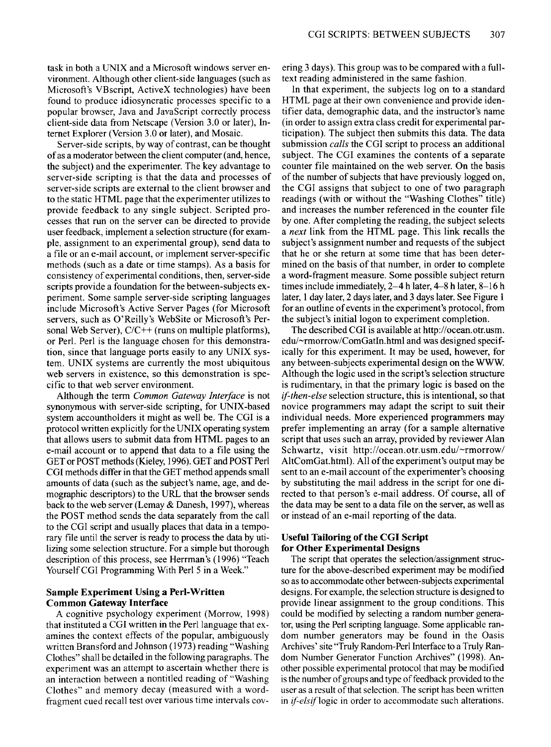task in both a UNIX and a Microsoft windows server environment. Although other client-side languages (such as Microsoft's VBscript, ActiveX technologies) have been found to produce idiosyncratic processes specific to a popular browser, Java and JavaScript correctly process client-side data from Netscape (Version 3.0 or later), Internet Explorer (Version 3.0 or later), and Mosaic.

Server-side scripts, by way of contrast, can be thought of as a moderator between the client computer (and, hence, the subject) and the experimenter. The key advantage to server-side scripting is that the data and processes of server-side scripts are external to the client browser and to the static HTML page that the experimenter utilizes to provide feedback to any single subject. Scripted processes that run on the server can be directed to provide user feedback, implement a selection structure (for example, assignment to an experimental group), send data to a file or an e-mail account, or implement server-specific methods (such as a date or time stamps). As a basis for consistency of experimental conditions, then, server-side scripts provide a foundation for the between-subjects experiment. Some sample server-side scripting languages include Microsoft's Active Server Pages (for Microsoft servers, such as O'Reilly's WebSite or Microsoft's Personal Web Server), *CIC++* (runs on multiple platforms), or Perl. Perl is the language chosen for this demonstration, since that language ports easily to any UNIX system. UNIX systems are currently the most ubiquitous web servers in existence, so this demonstration is specific to that web server environment.

Although the term *Common Gateway Interface* is not synonymous with server-side scripting, for UNIX-based system accountholders it might as well be. The CGI is a protocol written explicitly for the UNIX operating system that allows users to submit data from HTML pages to an e-mail account or to append that data to a file using the GET or POST methods (Kieley, 1996).GET and POST Perl CGI methods differ in that the GET method appends small amounts of data (such as the subject's name, age, and demographic descriptors) to the URL that the browser sends back to the web server (Lemay & Danesh, 1997), whereas the POST method sends the data separately from the call to the CGI script and usually places that data in a temporary file until the server is ready to process the data by utilizing some selection structure. For a simple but thorough description of this process, see Herrman's (1996) "Teach Yourself CGI Programming With Perl 5 in a Week."

### **Sample Experiment Using a Perl-Written Common Gateway Interface**

A cognitive psychology experiment (Morrow, 1998) that instituted a CGI written in the Perl language that examines the context effects of the popular, ambiguously written Bransford and Johnson (1973) reading "Washing Clothes" shall be detailed in the following paragraphs. The experiment was an attempt to ascertain whether there is an interaction between a nontitled reading of "Washing Clothes" and memory decay (measured with a wordfragment cued recall test over various time intervals cov-

ering 3 days). This group was to be compared with a fulltext reading administered in the same fashion.

In that experiment, the subjects log on to a standard HTML page at their own convenience and provide identifier data, demographic data, and the instructor's name (in order to assign extra class credit for experimental participation). The subject then submits this data. The data submission *calls* the CGI script to process an additional subject. The CGI examines the contents of a separate counter file maintained on the web server. On the basis of the number of subjects that have previously logged on, the CGI assigns that subject to one of two paragraph readings (with or without the "Washing Clothes" title) and increases the number referenced in the counter file by one. After completing the reading, the subject selects a *next* link from the HTML page. This link recalls the subject's assignment number and requests of the subject that he or she return at some time that has been determined on the basis of that number, in order to complete a word-fragment measure. Some possible subject return times include immediately,  $2-4$  h later,  $4-8$  h later,  $8-16$  h later, 1 day later, 2 days later, and 3 days later. See Figure 1 for an outline of events in the experiment's protocol, from the subject's initial logon to experiment completion.

The described CGI is available at http://ocean.otr.usm.  $edu/\sim r$ morrow/ComGatIn.html and was designed specifically for this experiment. It may be used, however, for any between-subjects experimental design on the WWW Although the logic used in the script's selection structure is rudimentary, in that the primary logic is based on the *if-then-else* selection structure, this is intentional, so that novice programmers may adapt the script to suit their individual needs. More experienced programmers may prefer implementing an array (for a sample alternative script that uses such an array, provided by reviewer Alan Schwartz, visit *http://ocean.otr.usm.edu/-rmorrow/* AltComGat.html). All of the experiment's output may be sent to an e-mail account of the experimenter's choosing by substituting the mail address in the script for one directed to that person's e-mail address. Of course, all of the data may be sent to a data file on the server, as well as or instead of an e-mail reporting of the data.

#### **Useful Tailoring of the CGI Script for Other Experimental Designs**

The script that operates the selection/assignment structure for the above-described experiment may be modified so as to accommodate other between-subjects experimental designs. For example, the selection structure is designed to provide linear assignment to the group conditions. This could be modified by selecting a random number generator, using the Perl scripting language. Some applicable random number generators may be found in the Oasis Archives' site "Truly Random-Perl Interface to a Truly Random Number Generator Function Archives" (1998). Another possible experimental protocol that may be modified is the number of groups and type of feedback provided to the user as a result of that selection. The script has been written in *if-elsif* logic in order to accommodate such alterations.